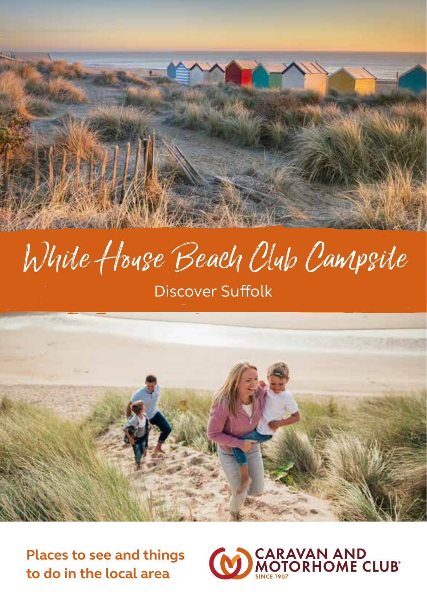# White House Beach Club Campsite Discover Suffolk



**Places to see and things to do in the local area**

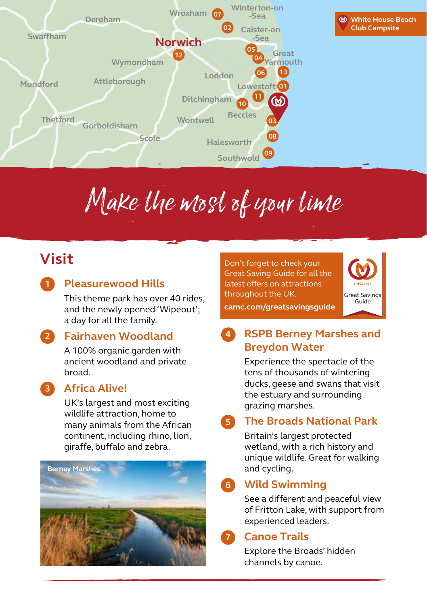



# Make the most of your time

## **Visit**

**1**

**2**

**3**

#### **Pleasurewood Hills**

This theme park has over 40 rides, and the newly opened 'Wipeout'; a day for all the family.

#### **Fairhaven Woodland**

A 100% organic garden with ancient woodland and private broad.

#### **Africa Alive!**

UK's largest and most exciting wildlife attraction, home to many animals from the African continent, including rhino, lion, giraffe, buffalo and zebra.



Don't forget to check your Great Saving Guide for all the latest offers on attractions throughout the UK.

**camc.com/greatsavingsguide**



#### **RSPB Berney Marshes and Breydon Water 4**

Experience the spectacle of the tens of thousands of wintering ducks, geese and swans that visit the estuary and surrounding grazing marshes.

#### **The Broads National Park 5**

Britain's largest protected wetland, with a rich history and unique wildlife. Great for walking and cycling.

#### **Wild Swimming 6**

See a different and peaceful view of Fritton Lake, with support from experienced leaders.

#### **Canoe Trails**

**7**

Explore the Broads' hidden channels by canoe.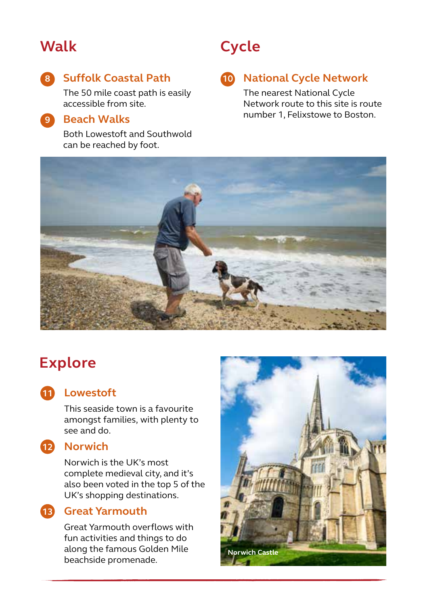### **Walk**

### **Suffolk Coastal Path 8 10**

The 50 mile coast path is easily accessible from site.

#### **Beach Walks 9**

Both Lowestoft and Southwold can be reached by foot.

## **Cycle**

#### **10 National Cycle Network**

The nearest National Cycle Network route to this site is route number 1, Felixstowe to Boston.



## **Explore**

### **Lowestoft 11**

This seaside town is a favourite amongst families, with plenty to see and do.



#### **Norwich 12**

Norwich is the UK's most complete medieval city, and it's also been voted in the top 5 of the UK's shopping destinations.

#### **Great Yarmouth 13**

Great Yarmouth overflows with fun activities and things to do along the famous Golden Mile beachside promenade.